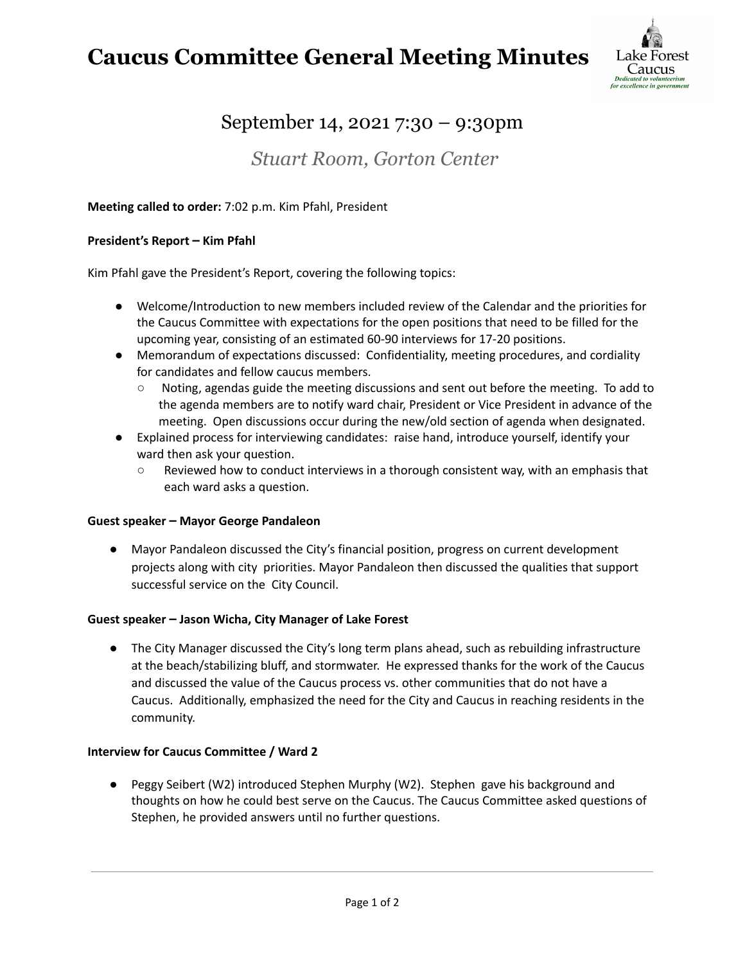**Caucus Committee General Meeting Minutes**



## September 14, 2021 7:30 – 9:30pm

### *Stuart Room, Gorton Center*

#### **Meeting called to order:** 7:02 p.m. Kim Pfahl, President

#### **President's Report – Kim Pfahl**

Kim Pfahl gave the President's Report, covering the following topics:

- Welcome/Introduction to new members included review of the Calendar and the priorities for the Caucus Committee with expectations for the open positions that need to be filled for the upcoming year, consisting of an estimated 60-90 interviews for 17-20 positions.
- Memorandum of expectations discussed: Confidentiality, meeting procedures, and cordiality for candidates and fellow caucus members.
	- Noting, agendas guide the meeting discussions and sent out before the meeting. To add to the agenda members are to notify ward chair, President or Vice President in advance of the meeting. Open discussions occur during the new/old section of agenda when designated.
- Explained process for interviewing candidates: raise hand, introduce yourself, identify your ward then ask your question.
	- Reviewed how to conduct interviews in a thorough consistent way, with an emphasis that each ward asks a question.

#### **Guest speaker – Mayor George Pandaleon**

**●** Mayor Pandaleon discussed the City's financial position, progress on current development projects along with city priorities. Mayor Pandaleon then discussed the qualities that support successful service on the City Council.

#### **Guest speaker – Jason Wicha, City Manager of Lake Forest**

**●** The City Manager discussed the City's long term plans ahead, such as rebuilding infrastructure at the beach/stabilizing bluff, and stormwater. He expressed thanks for the work of the Caucus and discussed the value of the Caucus process vs. other communities that do not have a Caucus. Additionally, emphasized the need for the City and Caucus in reaching residents in the community.

#### **Interview for Caucus Committee / Ward 2**

**●** Peggy Seibert (W2) introduced Stephen Murphy (W2). Stephen gave his background and thoughts on how he could best serve on the Caucus. The Caucus Committee asked questions of Stephen, he provided answers until no further questions.